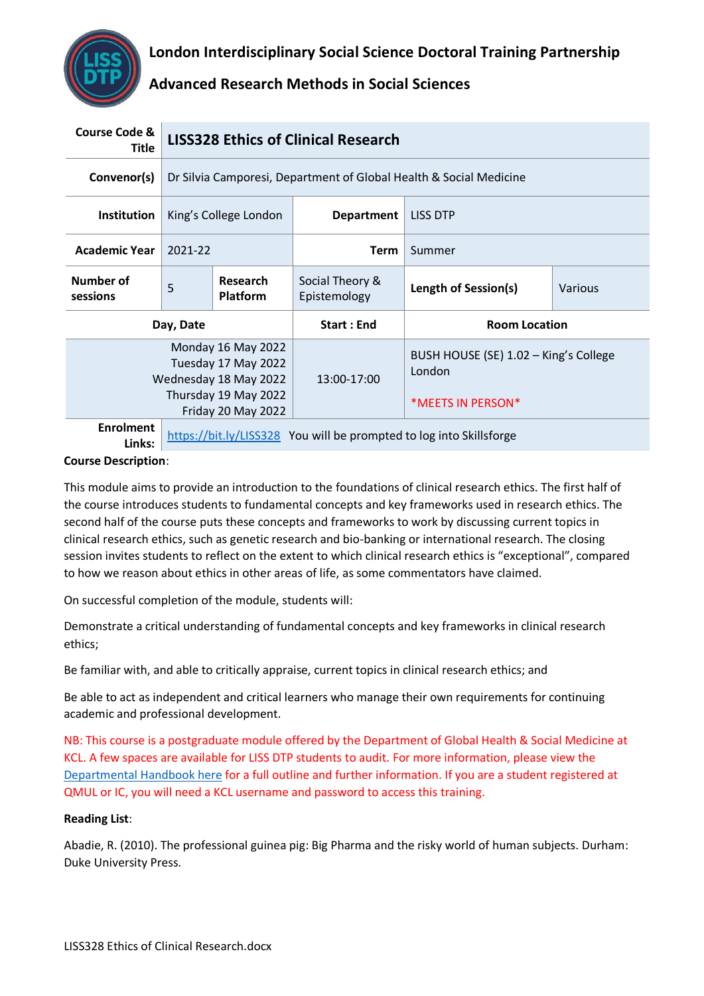

| <b>Course Code &amp;</b><br>Title                                                                 | <b>LISS328 Ethics of Clinical Research</b>                         |                                                                                                                  |                                 |                                                                      |         |
|---------------------------------------------------------------------------------------------------|--------------------------------------------------------------------|------------------------------------------------------------------------------------------------------------------|---------------------------------|----------------------------------------------------------------------|---------|
| Convenor(s)                                                                                       | Dr Silvia Camporesi, Department of Global Health & Social Medicine |                                                                                                                  |                                 |                                                                      |         |
| <b>Institution</b>                                                                                | King's College London                                              |                                                                                                                  | <b>Department</b>               | <b>LISS DTP</b>                                                      |         |
| <b>Academic Year</b>                                                                              | 2021-22                                                            |                                                                                                                  | <b>Term</b>                     | Summer                                                               |         |
| Number of<br>sessions                                                                             | 5                                                                  | Research<br><b>Platform</b>                                                                                      | Social Theory &<br>Epistemology | Length of Session(s)                                                 | Various |
| Day, Date                                                                                         |                                                                    |                                                                                                                  | <b>Start: End</b>               | <b>Room Location</b>                                                 |         |
|                                                                                                   |                                                                    | Monday 16 May 2022<br>Tuesday 17 May 2022<br>Wednesday 18 May 2022<br>Thursday 19 May 2022<br>Friday 20 May 2022 | $13:00-17:00$                   | BUSH HOUSE (SE) 1.02 - King's College<br>London<br>*MEETS IN PERSON* |         |
| <b>Enrolment</b><br>https://bit.ly/LISS328 You will be prompted to log into Skillsforge<br>Links: |                                                                    |                                                                                                                  |                                 |                                                                      |         |

#### **Course Description**:

This module aims to provide an introduction to the foundations of clinical research ethics. The first half of the course introduces students to fundamental concepts and key frameworks used in research ethics. The second half of the course puts these concepts and frameworks to work by discussing current topics in clinical research ethics, such as genetic research and bio-banking or international research. The closing session invites students to reflect on the extent to which clinical research ethics is "exceptional", compared to how we reason about ethics in other areas of life, as some commentators have claimed.

On successful completion of the module, students will:

Demonstrate a critical understanding of fundamental concepts and key frameworks in clinical research ethics;

Be familiar with, and able to critically appraise, current topics in clinical research ethics; and

Be able to act as independent and critical learners who manage their own requirements for continuing academic and professional development.

NB: This course is a postgraduate module offered by the Department of Global Health & Social Medicine at KCL. A few spaces are available for LISS DTP students to audit. For more information, please view the [Departmental Handbook here](https://keats.kcl.ac.uk/enrol/index.php?id=93855) for a full outline and further information. If you are a student registered at QMUL or IC, you will need a KCL username and password to access this training.

#### **Reading List**:

Abadie, R. (2010). The professional guinea pig: Big Pharma and the risky world of human subjects. Durham: Duke University Press.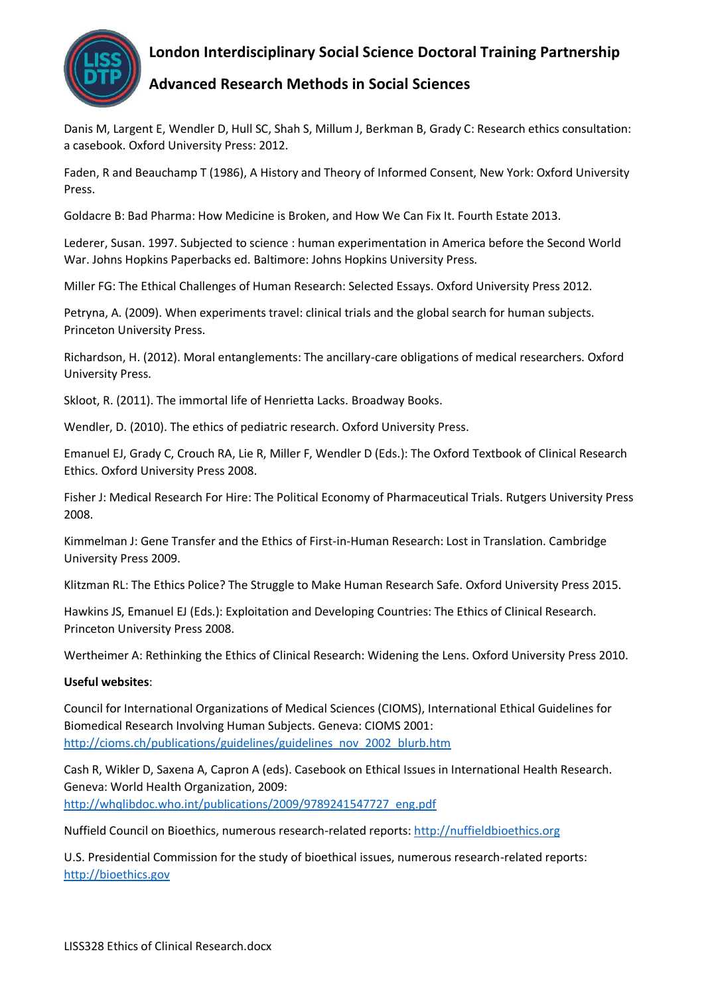

# **London Interdisciplinary Social Science Doctoral Training Partnership**

### **Advanced Research Methods in Social Sciences**

Danis M, Largent E, Wendler D, Hull SC, Shah S, Millum J, Berkman B, Grady C: Research ethics consultation: a casebook. Oxford University Press: 2012.

Faden, R and Beauchamp T (1986), A History and Theory of Informed Consent, New York: Oxford University Press.

Goldacre B: Bad Pharma: How Medicine is Broken, and How We Can Fix It. Fourth Estate 2013.

Lederer, Susan. 1997. Subjected to science : human experimentation in America before the Second World War. Johns Hopkins Paperbacks ed. Baltimore: Johns Hopkins University Press.

Miller FG: The Ethical Challenges of Human Research: Selected Essays. Oxford University Press 2012.

Petryna, A. (2009). When experiments travel: clinical trials and the global search for human subjects. Princeton University Press.

Richardson, H. (2012). Moral entanglements: The ancillary-care obligations of medical researchers. Oxford University Press.

Skloot, R. (2011). The immortal life of Henrietta Lacks. Broadway Books.

Wendler, D. (2010). The ethics of pediatric research. Oxford University Press.

Emanuel EJ, Grady C, Crouch RA, Lie R, Miller F, Wendler D (Eds.): The Oxford Textbook of Clinical Research Ethics. Oxford University Press 2008.

Fisher J: Medical Research For Hire: The Political Economy of Pharmaceutical Trials. Rutgers University Press 2008.

Kimmelman J: Gene Transfer and the Ethics of First-in-Human Research: Lost in Translation. Cambridge University Press 2009.

Klitzman RL: The Ethics Police? The Struggle to Make Human Research Safe. Oxford University Press 2015.

Hawkins JS, Emanuel EJ (Eds.): Exploitation and Developing Countries: The Ethics of Clinical Research. Princeton University Press 2008.

Wertheimer A: Rethinking the Ethics of Clinical Research: Widening the Lens. Oxford University Press 2010.

#### **Useful websites**:

Council for International Organizations of Medical Sciences (CIOMS), International Ethical Guidelines for Biomedical Research Involving Human Subjects. Geneva: CIOMS 2001: [http://cioms.ch/publications/guidelines/guidelines\\_nov\\_2002\\_blurb.htm](http://cioms.ch/publications/guidelines/guidelines_nov_2002_blurb.htm)

Cash R, Wikler D, Saxena A, Capron A (eds). Casebook on Ethical Issues in International Health Research. Geneva: World Health Organization, 2009: [http://whqlibdoc.who.int/publications/2009/9789241547727\\_eng.pdf](http://whqlibdoc.who.int/publications/2009/9789241547727_eng.pdf)

Nuffield Council on Bioethics, numerous research-related reports: [http://nuffieldbioethics.org](http://nuffieldbioethics.org/)

U.S. Presidential Commission for the study of bioethical issues, numerous research-related reports: [http://bioethics.gov](http://bioethics.gov/)